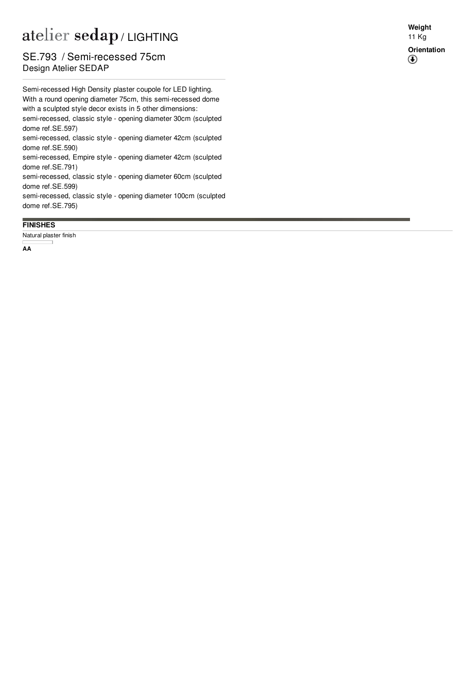## / LIGHTING

## Design Atelier SEDAP SE.793 / Semi-recessed 75cm

Semi-recessed High Density plaster coupole for LED lighting. With a round opening diameter 75cm, this semi-recessed dom e with a sculpted style decor exists in 5 other dimensions: semi-recessed, classic style - opening diameter 30cm (sculpted dome ref.S[E.5](http://www.sedap.com/lighting/fr/produits/view/SE.597)97) semi-recessed, classic style - opening diameter 42cm (sculpted dome ref.S[E.5](http://www.sedap.com/lighting/fr/produits/view/SE.590)90)

semi-recessed, Empire style - opening diameter 42cm (sculpted dome ref.S[E.7](http://www.sedap.com/lighting/fr/produits/view/SE.791)91)

semi-recessed, classic style - opening diameter 60cm (sculpted dome ref.S[E.5](http://www.sedap.com/lighting/fr/produits/view/SE.599)99)

semi-recessed, classic style - opening diameter 100cm (sculpted dome ref.S[E.7](http://www.sedap.com/lighting/fr/produits/view/SE.795)95)

## **F I N IS H E S**

Natural plaster finish

**A A**

**W eig h t** 1 1 K g **Orientation**  $\bigcirc$